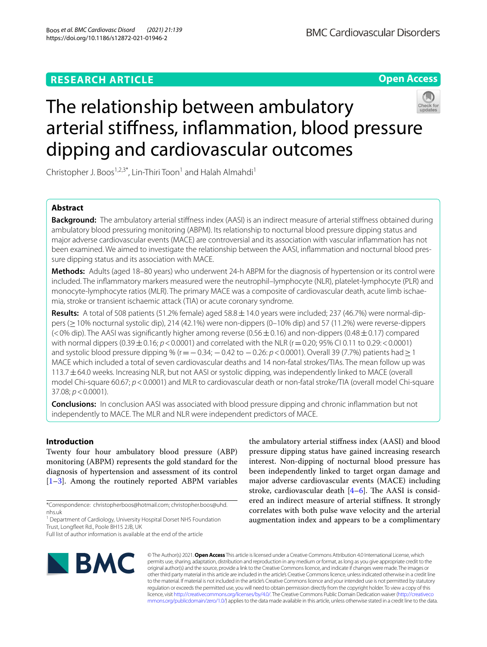# **RESEARCH ARTICLE**

**Open Access**

# The relationship between ambulatory arterial stifness, infammation, blood pressure dipping and cardiovascular outcomes



Christopher J. Boos<sup>1,2,3\*</sup>, Lin-Thiri Toon<sup>1</sup> and Halah Almahdi<sup>1</sup>

# **Abstract**

**Background:** The ambulatory arterial stifness index (AASI) is an indirect measure of arterial stifness obtained during ambulatory blood pressuring monitoring (ABPM). Its relationship to nocturnal blood pressure dipping status and major adverse cardiovascular events (MACE) are controversial and its association with vascular infammation has not been examined. We aimed to investigate the relationship between the AASI, inflammation and nocturnal blood pressure dipping status and its association with MACE.

**Methods:** Adults (aged 18–80 years) who underwent 24-h ABPM for the diagnosis of hypertension or its control were included. The infammatory markers measured were the neutrophil–lymphocyte (NLR), platelet-lymphocyte (PLR) and monocyte-lymphocyte ratios (MLR). The primary MACE was a composite of cardiovascular death, acute limb ischaemia, stroke or transient ischaemic attack (TIA) or acute coronary syndrome.

Results: A total of 508 patients (51.2% female) aged 58.8 ± 14.0 years were included; 237 (46.7%) were normal-dippers (≥10% nocturnal systolic dip), 214 (42.1%) were non-dippers (0–10% dip) and 57 (11.2%) were reverse-dippers  $(<$ 0% dip). The AASI was significantly higher among reverse (0.56  $\pm$  0.16) and non-dippers (0.48  $\pm$  0.17) compared with normal dippers  $(0.39 \pm 0.16; p < 0.0001)$  and correlated with the NLR ( $r = 0.20; 95\%$  CI 0.11 to 0.29: < 0.0001) and systolic blood pressure dipping % (r = −0.34; −0.42 to −0.26: *p* < 0.0001). Overall 39 (7.7%) patients had ≥1 MACE which included a total of seven cardiovascular deaths and 14 non-fatal strokes/TIAs. The mean follow up was 113.7  $\pm$  64.0 weeks. Increasing NLR, but not AASI or systolic dipping, was independently linked to MACE (overall model Chi-square 60.67; *p*<0.0001) and MLR to cardiovascular death or non-fatal stroke/TIA (overall model Chi-square 37.08; *p*<0.0001).

**Conclusions:** In conclusion AASI was associated with blood pressure dipping and chronic infammation but not independently to MACE. The MLR and NLR were independent predictors of MACE.

# **Introduction**

Twenty four hour ambulatory blood pressure (ABP) monitoring (ABPM) represents the gold standard for the diagnosis of hypertension and assessment of its control [[1–](#page-6-0)[3\]](#page-6-1). Among the routinely reported ABPM variables

the ambulatory arterial stifness index (AASI) and blood pressure dipping status have gained increasing research interest. Non-dipping of nocturnal blood pressure has been independently linked to target organ damage and major adverse cardiovascular events (MACE) including stroke, cardiovascular death  $[4-6]$  $[4-6]$ . The AASI is considered an indirect measure of arterial stifness. It strongly correlates with both pulse wave velocity and the arterial augmentation index and appears to be a complimentary



© The Author(s) 2021. **Open Access** This article is licensed under a Creative Commons Attribution 4.0 International License, which permits use, sharing, adaptation, distribution and reproduction in any medium or format, as long as you give appropriate credit to the original author(s) and the source, provide a link to the Creative Commons licence, and indicate if changes were made. The images or other third party material in this article are included in the article's Creative Commons licence, unless indicated otherwise in a credit line to the material. If material is not included in the article's Creative Commons licence and your intended use is not permitted by statutory regulation or exceeds the permitted use, you will need to obtain permission directly from the copyright holder. To view a copy of this licence, visit [http://creativecommons.org/licenses/by/4.0/.](http://creativecommons.org/licenses/by/4.0/) The Creative Commons Public Domain Dedication waiver ([http://creativeco](http://creativecommons.org/publicdomain/zero/1.0/) [mmons.org/publicdomain/zero/1.0/](http://creativecommons.org/publicdomain/zero/1.0/)) applies to the data made available in this article, unless otherwise stated in a credit line to the data.

<sup>\*</sup>Correspondence: christopherboos@hotmail.com; christopher.boos@uhd. nhs.uk

<sup>&</sup>lt;sup>1</sup> Department of Cardiology, University Hospital Dorset NHS Foundation Trust, Longfeet Rd., Poole BH15 2JB, UK

Full list of author information is available at the end of the article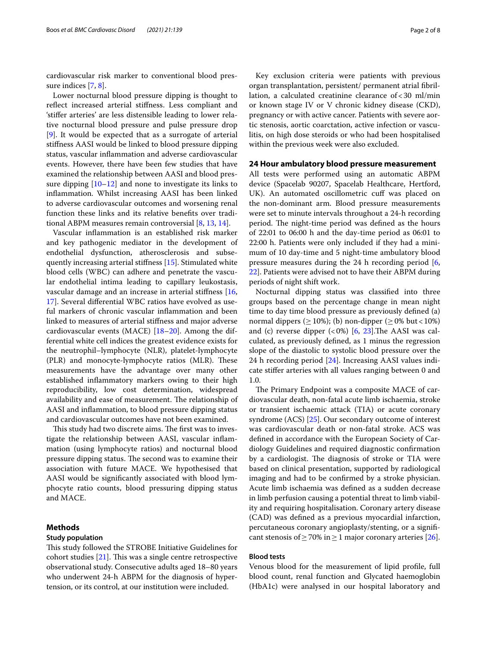cardiovascular risk marker to conventional blood pressure indices [\[7](#page-6-4), [8\]](#page-6-5).

Lower nocturnal blood pressure dipping is thought to refect increased arterial stifness. Less compliant and 'stifer arteries' are less distensible leading to lower relative nocturnal blood pressure and pulse pressure drop [[9\]](#page-6-6). It would be expected that as a surrogate of arterial stifness AASI would be linked to blood pressure dipping status, vascular infammation and adverse cardiovascular events. However, there have been few studies that have examined the relationship between AASI and blood pressure dipping [[10](#page-6-7)[–12](#page-6-8)] and none to investigate its links to infammation. Whilst increasing AASI has been linked to adverse cardiovascular outcomes and worsening renal function these links and its relative benefts over traditional ABPM measures remain controversial [\[8,](#page-6-5) [13](#page-6-9), [14\]](#page-6-10).

Vascular infammation is an established risk marker and key pathogenic mediator in the development of endothelial dysfunction, atherosclerosis and subsequently increasing arterial stifness [[15\]](#page-6-11). Stimulated white blood cells (WBC) can adhere and penetrate the vascular endothelial intima leading to capillary leukostasis, vascular damage and an increase in arterial stifness [\[16](#page-6-12), [17\]](#page-6-13). Several diferential WBC ratios have evolved as useful markers of chronic vascular infammation and been linked to measures of arterial stifness and major adverse cardiovascular events (MACE)  $[18-20]$  $[18-20]$ . Among the differential white cell indices the greatest evidence exists for the neutrophil–lymphocyte (NLR), platelet-lymphocyte (PLR) and monocyte-lymphocyte ratios (MLR). These measurements have the advantage over many other established infammatory markers owing to their high reproducibility, low cost determination, widespread availability and ease of measurement. The relationship of AASI and infammation, to blood pressure dipping status and cardiovascular outcomes have not been examined.

This study had two discrete aims. The first was to investigate the relationship between AASI, vascular infammation (using lymphocyte ratios) and nocturnal blood pressure dipping status. The second was to examine their association with future MACE. We hypothesised that AASI would be signifcantly associated with blood lymphocyte ratio counts, blood pressuring dipping status and MACE.

# **Methods**

#### **Study population**

This study followed the STROBE Initiative Guidelines for cohort studies  $[21]$  $[21]$  $[21]$ . This was a single centre retrospective observational study. Consecutive adults aged 18–80 years who underwent 24-h ABPM for the diagnosis of hypertension, or its control, at our institution were included.

Key exclusion criteria were patients with previous organ transplantation, persistent/ permanent atrial fbrillation, a calculated creatinine clearance of  $<$  30 ml/min or known stage IV or V chronic kidney disease (CKD), pregnancy or with active cancer. Patients with severe aortic stenosis, aortic coarctation, active infection or vasculitis, on high dose steroids or who had been hospitalised within the previous week were also excluded.

# **24 Hour ambulatory blood pressure measurement**

All tests were performed using an automatic ABPM device (Spacelab 90207, Spacelab Healthcare, Hertford, UK). An automated oscillometric cuf was placed on the non-dominant arm. Blood pressure measurements were set to minute intervals throughout a 24-h recording period. The night-time period was defined as the hours of 22:01 to 06:00 h and the day-time period as 06:01 to 22:00 h. Patients were only included if they had a minimum of 10 day-time and 5 night-time ambulatory blood pressure measures during the 24  $h$  recording period  $[6, 6]$  $[6, 6]$ [22\]](#page-6-17). Patients were advised not to have their ABPM during periods of night shift work.

Nocturnal dipping status was classifed into three groups based on the percentage change in mean night time to day time blood pressure as previously defned (a) normal dippers ( $\geq$  10%); (b) non-dipper ( $\geq$  0% but < 10%) and (c) reverse dipper  $\langle 0\% \rangle$  [\[6](#page-6-3), [23](#page-7-0)]. The AASI was calculated, as previously defned, as 1 minus the regression slope of the diastolic to systolic blood pressure over the 24 h recording period [\[24](#page-7-1)]. Increasing AASI values indicate stifer arteries with all values ranging between 0 and 1.0.

The Primary Endpoint was a composite MACE of cardiovascular death, non-fatal acute limb ischaemia, stroke or transient ischaemic attack (TIA) or acute coronary syndrome (ACS) [\[25](#page-7-2)]. Our secondary outcome of interest was cardiovascular death or non-fatal stroke. ACS was defned in accordance with the European Society of Cardiology Guidelines and required diagnostic confrmation by a cardiologist. The diagnosis of stroke or TIA were based on clinical presentation, supported by radiological imaging and had to be confrmed by a stroke physician. Acute limb ischaemia was defned as a sudden decrease in limb perfusion causing a potential threat to limb viability and requiring hospitalisation. Coronary artery disease (CAD) was defned as a previous myocardial infarction, percutaneous coronary angioplasty/stenting, or a signifcant stenosis of  $\geq$  70% in  $\geq$  1 major coronary arteries [\[26\]](#page-7-3).

# **Blood tests**

Venous blood for the measurement of lipid profle, full blood count, renal function and Glycated haemoglobin (HbA1c) were analysed in our hospital laboratory and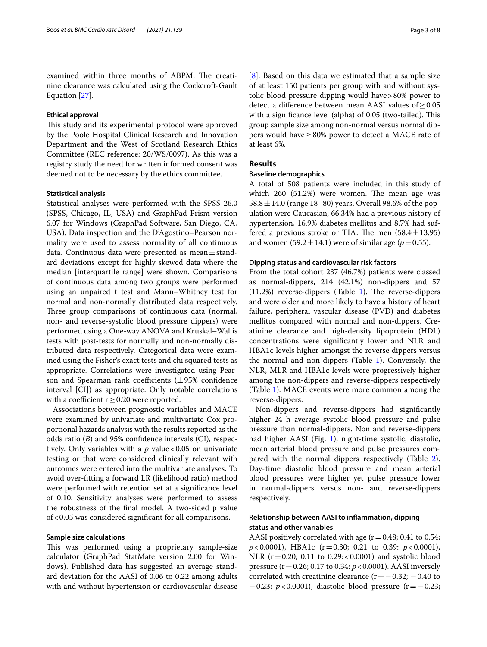examined within three months of ABPM. The creatinine clearance was calculated using the Cockcroft-Gault Equation [\[27](#page-7-4)].

### **Ethical approval**

This study and its experimental protocol were approved by the Poole Hospital Clinical Research and Innovation Department and the West of Scotland Research Ethics Committee (REC reference: 20/WS/0097). As this was a registry study the need for written informed consent was deemed not to be necessary by the ethics committee.

# **Statistical analysis**

Statistical analyses were performed with the SPSS 26.0 (SPSS, Chicago, IL, USA) and GraphPad Prism version 6.07 for Windows (GraphPad Software, San Diego, CA, USA). Data inspection and the D'Agostino–Pearson normality were used to assess normality of all continuous data. Continuous data were presented as mean $\pm$ standard deviations except for highly skewed data where the median [interquartile range] were shown. Comparisons of continuous data among two groups were performed using an unpaired t test and Mann–Whitney test for normal and non-normally distributed data respectively. Three group comparisons of continuous data (normal, non- and reverse-systolic blood pressure dippers) were performed using a One-way ANOVA and Kruskal–Wallis tests with post-tests for normally and non-normally distributed data respectively. Categorical data were examined using the Fisher's exact tests and chi squared tests as appropriate. Correlations were investigated using Pearson and Spearman rank coefficients  $(\pm 95\%$  confidence interval [CI]) as appropriate. Only notable correlations with a coefficient  $r \geq 0.20$  were reported.

Associations between prognostic variables and MACE were examined by univariate and multivariate Cox proportional hazards analysis with the results reported as the odds ratio (*B*) and 95% confdence intervals (CI), respectively. Only variables with a  $p$  value < 0.05 on univariate testing or that were considered clinically relevant with outcomes were entered into the multivariate analyses. To avoid over-ftting a forward LR (likelihood ratio) method were performed with retention set at a signifcance level of 0.10. Sensitivity analyses were performed to assess the robustness of the fnal model. A two-sided p value of<0.05 was considered signifcant for all comparisons.

## **Sample size calculations**

This was performed using a proprietary sample-size calculator (GraphPad StatMate version 2.00 for Windows). Published data has suggested an average standard deviation for the AASI of 0.06 to 0.22 among adults with and without hypertension or cardiovascular disease [[8\]](#page-6-5). Based on this data we estimated that a sample size of at least 150 patients per group with and without systolic blood pressure dipping would have>80% power to detect a difference between mean AASI values of  $\geq 0.05$ with a significance level (alpha) of 0.05 (two-tailed). This group sample size among non-normal versus normal dippers would have≥80% power to detect a MACE rate of at least 6%.

# **Results**

# **Baseline demographics**

A total of 508 patients were included in this study of which  $260$   $(51.2%)$  were women. The mean age was 58.8  $\pm$  14.0 (range 18–80) years. Overall 98.6% of the population were Caucasian; 66.34% had a previous history of hypertension, 16.9% diabetes mellitus and 8.7% had suffered a previous stroke or TIA. The men  $(58.4 \pm 13.95)$ and women  $(59.2 \pm 14.1)$  were of similar age ( $p=0.55$ ).

## **Dipping status and cardiovascular risk factors**

From the total cohort 237 (46.7%) patients were classed as normal-dippers, 214 (42.1%) non-dippers and 57  $(11.2%)$  $(11.2%)$  $(11.2%)$  reverse-dippers (Table 1). The reverse-dippers and were older and more likely to have a history of heart failure, peripheral vascular disease (PVD) and diabetes mellitus compared with normal and non-dippers. Creatinine clearance and high-density lipoprotein (HDL) concentrations were signifcantly lower and NLR and HBA1c levels higher amongst the reverse dippers versus the normal and non-dippers (Table [1\)](#page-3-0). Conversely, the NLR, MLR and HBA1c levels were progressively higher among the non-dippers and reverse-dippers respectively (Table [1](#page-3-0)). MACE events were more common among the reverse-dippers.

Non-dippers and reverse-dippers had signifcantly higher 24 h average systolic blood pressure and pulse pressure than normal-dippers. Non and reverse-dippers had higher AASI (Fig. [1](#page-3-1)), night-time systolic, diastolic, mean arterial blood pressure and pulse pressures compared with the normal dippers respectively (Table [2](#page-4-0)). Day-time diastolic blood pressure and mean arterial blood pressures were higher yet pulse pressure lower in normal-dippers versus non- and reverse-dippers respectively.

# **Relationship between AASI to infammation, dipping status and other variables**

AASI positively correlated with age  $(r=0.48; 0.41$  to 0.54; *p*<0.0001), HBA1c (r=0.30; 0.21 to 0.39: *p*<0.0001), NLR (r = 0.20; 0.11 to 0.29: < 0.0001) and systolic blood pressure (r=0.26; 0.17 to 0.34: *p*<0.0001). AASI inversely correlated with creatinine clearance  $(r=-0.32; -0.40$  to −0.23: *p*<0.0001), diastolic blood pressure (r=−0.23;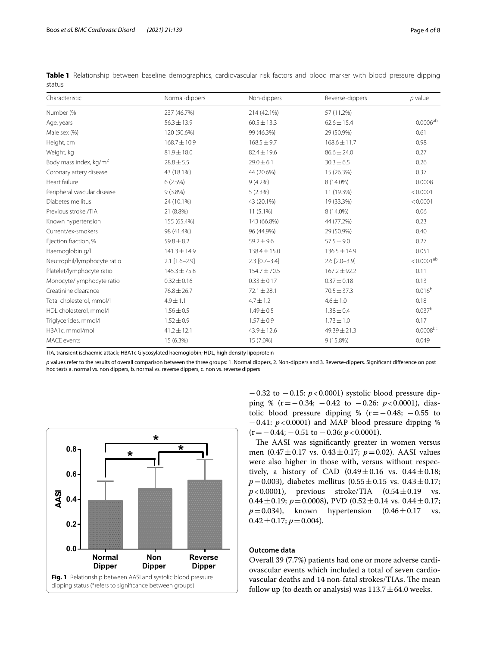| Characteristic                     | Normal-dippers   | Non-dippers      | Reverse-dippers     | $p$ value          |
|------------------------------------|------------------|------------------|---------------------|--------------------|
| Number (%                          | 237 (46.7%)      | 214 (42.1%)      | 57 (11.2%)          |                    |
| Age, years                         | $56.3 \pm 13.9$  | $60.5 \pm 13.3$  | $62.6 \pm 15.4$     | $0.0006^{ab}$      |
| Male sex (%)                       | 120 (50.6%)      | 99 (46.3%)       | 29 (50.9%)          | 0.61               |
| Height, cm                         | 168.7 ± 10.9     | $168.5 \pm 9.7$  | $168.6 \pm 11.7$    | 0.98               |
| Weight, kg                         | $81.9 \pm 18.0$  | $82.4 \pm 19.6$  | $86.6 \pm 24.0$     | 0.27               |
| Body mass index, kg/m <sup>2</sup> | $28.8 \pm 5.5$   | $29.0 \pm 6.1$   | $30.3 \pm 6.5$      | 0.26               |
| Coronary artery disease            | 43 (18.1%)       | 44 (20.6%)       | 15 (26.3%)          | 0.37               |
| Heart failure                      | 6(2.5%)          | $9(4.2\%)$       | 8 (14.0%)           | 0.0008             |
| Peripheral vascular disease        | $9(3.8\%)$       | 5(2.3%)          | 11 (19.3%)          | < 0.0001           |
| Diabetes mellitus                  | 24 (10.1%)       | 43 (20.1%)       | 19 (33.3%)          | < 0.0001           |
| Previous stroke /TIA               | 21 (8.8%)        | $11(5.1\%)$      | 8 (14.0%)           | 0.06               |
| Known hypertension                 | 155 (65.4%)      | 143 (66.8%)      | 44 (77.2%)          | 0.23               |
| Current/ex-smokers                 | 98 (41.4%)       | 96 (44.9%)       | 29 (50.9%)          | 0.40               |
| Ejection fraction, %               | $59.8 \pm 8.2$   | $59.2 \pm 9.6$   | $57.5 \pm 9.0$      | 0.27               |
| Haemoglobin g/l                    | $141.3 \pm 14.9$ | $138.4 \pm 15.0$ | $136.5 \pm 14.9$    | 0.051              |
| Neutrophil/lymphocyte ratio        | $2.1$ [1.6-2.9]  | $2.3$ [0.7-3.4]  | $2.6$ $[2.0 - 3.9]$ | $< 0.0001^{ab}$    |
| Platelet/lymphocyte ratio          | $145.3 \pm 75.8$ | 154.7 ± 70.5     | $167.2 \pm 92.2$    | 0.11               |
| Monocyte/lymphocyte ratio          | $0.32 \pm 0.16$  | $0.33 \pm 0.17$  | $0.37 \pm 0.18$     | 0.13               |
| Creatinine clearance               | $76.8 \pm 26.7$  | $72.1 \pm 28.1$  | $70.5 \pm 37.3$     | 0.016 <sup>b</sup> |
| Total cholesterol, mmol/l          | $4.9 \pm 1.1$    | $4.7 \pm 1.2$    | $4.6 \pm 1.0$       | 0.18               |
| HDL cholesterol, mmol/l            | $1.56 \pm 0.5$   | $1.49 \pm 0.5$   | $1.38 \pm 0.4$      | 0.037 <sup>b</sup> |
| Triglycerides, mmol/l              | $1.52 \pm 0.9$   | $1.57 \pm 0.9$   | $1.73 \pm 1.0$      | 0.17               |
| HBA1c, mmol/mol                    | $41.2 \pm 12.1$  | $43.9 \pm 12.6$  | $49.39 \pm 21.3$    | $0.0008^{bc}$      |
| <b>MACE</b> events                 | 15 (6.3%)        | 15 (7.0%)        | 9 (15.8%)           | 0.049              |

<span id="page-3-0"></span>**Table 1** Relationship between baseline demographics, cardiovascular risk factors and blood marker with blood pressure dipping status

TIA, transient ischaemic attack; HBA1c Glycosylated haemoglobin; HDL, high density lipoprotein

*p* values refer to the results of overall comparison between the three groups: 1. Normal dippers, 2. Non-dippers and 3. Reverse-dippers. Signifcant diference on post hoc tests a. normal vs. non dippers, b. normal vs. reverse dippers, c. non vs. reverse dippers

<span id="page-3-1"></span>

−0.32 to −0.15: *p*<0.0001) systolic blood pressure dipping % (r=−0.34; −0.42 to −0.26: *p*<0.0001), diastolic blood pressure dipping % ( $r = -0.48$ ;  $-0.55$  to  $-0.41$ :  $p < 0.0001$ ) and MAP blood pressure dipping % (r=−0.44; −0.51 to −0.36: *p*<0.0001).

The AASI was significantly greater in women versus men (0.47±0.17 vs. 0.43±0.17; *p*=0.02). AASI values were also higher in those with, versus without respectively, a history of CAD  $(0.49 \pm 0.16$  vs.  $0.44 \pm 0.18$ ;  $p=0.003$ ), diabetes mellitus (0.55 $\pm$ 0.15 vs. 0.43 $\pm$ 0.17;<br> $p<0.0001$ ), previous stroke/TIA (0.54 $\pm$ 0.19 vs.  $p < 0.0001$ ), previous stroke/TIA  $(0.54 \pm 0.19)$ 0.44 $\pm$ 0.19; *p*=0.0008), PVD (0.52 $\pm$ 0.14 vs. 0.44 $\pm$ 0.17;  $p=0.034$ ), known hypertension  $(0.46\pm0.17 \text{ vs.}$  $0.42 \pm 0.17$ ;  $p = 0.004$ ).

# **Outcome data**

Overall 39 (7.7%) patients had one or more adverse cardiovascular events which included a total of seven cardiovascular deaths and 14 non-fatal strokes/TIAs. The mean follow up (to death or analysis) was  $113.7 \pm 64.0$  weeks.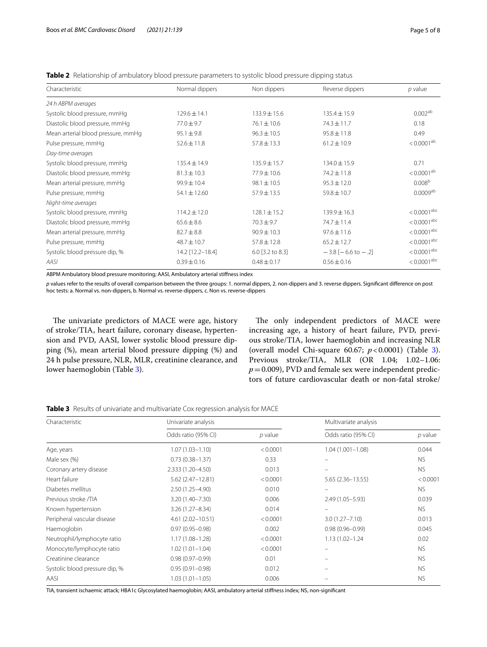<span id="page-4-0"></span>**Table 2** Relationship of ambulatory blood pressure parameters to systolic blood pressure dipping status

| Characteristic                     | Normal dippers   | Non dippers      | Reverse dippers               | $p$ value            |
|------------------------------------|------------------|------------------|-------------------------------|----------------------|
| 24 h ABPM averages                 |                  |                  |                               |                      |
| Systolic blood pressure, mmHg      | $129.6 \pm 14.1$ | $133.9 + 15.6$   | $135.4 \pm 15.9$              | $0.002^{ab}$         |
| Diastolic blood pressure, mmHq     | $77.0 \pm 9.7$   | $76.1 \pm 10.6$  | $74.3 \pm 11.7$               | 0.18                 |
| Mean arterial blood pressure, mmHg | $95.1 \pm 9.8$   | $96.3 \pm 10.5$  | $95.8 \pm 11.8$               | 0.49                 |
| Pulse pressure, mmHg               | $52.6 \pm 11.8$  | $57.8 \pm 13.3$  | $61.2 \pm 10.9$               | $< 0.0001^{ab}$      |
| Day-time averages                  |                  |                  |                               |                      |
| Systolic blood pressure, mmHg      | $135.4 \pm 14.9$ | $135.9 \pm 15.7$ | $134.0 \pm 15.9$              | 0.71                 |
| Diastolic blood pressure, mmHq     | $81.3 \pm 10.3$  | $77.9 \pm 10.6$  | $74.2 \pm 11.8$               | $< 0.0001^{ab}$      |
| Mean arterial pressure, mmHg       | $99.9 \pm 10.4$  | $98.1 \pm 10.5$  | $95.3 \pm 12.0$               | 0.008 <sup>b</sup>   |
| Pulse pressure, mmHg               | $54.1 \pm 12.60$ | $57.9 \pm 13.5$  | $59.8 \pm 10.7$               | $0.0009^{ab}$        |
| Night-time averages                |                  |                  |                               |                      |
| Systolic blood pressure, mmHg      | $114.2 \pm 12.0$ | $128.1 \pm 15.2$ | $139.9 \pm 16.3$              | $< 0.0001^{\rm abc}$ |
| Diastolic blood pressure, mmHq     | $65.6 \pm 8.6$   | $70.3 \pm 9.7$   | $74.7 \pm 11.4$               | $< 0.0001^{\rm abc}$ |
| Mean arterial pressure, mmHg       | $82.7 \pm 8.8$   | $90.9 \pm 10.3$  | $97.6 \pm 11.6$               | $< 0.0001^{abc}$     |
| Pulse pressure, mmHg               | $48.7 \pm 10.7$  | $57.8 \pm 12.8$  | $65.2 \pm 12.7$               | $< 0.0001^{abc}$     |
| Systolic blood pressure dip, %     | 14.2 [12.2-18.4] | 6.0 [3.2 to 8.3] | $-3.8[-6.6 \text{ to } -0.2]$ | $< 0.0001^{\rm abc}$ |
| AASI                               | $0.39 \pm 0.16$  | $0.48 \pm 0.17$  | $0.56 \pm 0.16$               | $< 0.0001^{abc}$     |

ABPM Ambulatory blood pressure monitoring; AASI, Ambulatory arterial stifness index

*p* values refer to the results of overall comparison between the three groups: 1. normal dippers, 2. non-dippers and 3. reverse dippers. Signifcant diference on post hoc tests: a. Normal vs. non-dippers, b. Normal vs. reverse-dippers, c. Non vs. reverse-dippers

The univariate predictors of MACE were age, history of stroke/TIA, heart failure, coronary disease, hypertension and PVD, AASI, lower systolic blood pressure dipping (%), mean arterial blood pressure dipping (%) and 24 h pulse pressure, NLR, MLR, creatinine clearance, and lower haemoglobin (Table [3](#page-4-1)).

The only independent predictors of MACE were increasing age, a history of heart failure, PVD, previous stroke/TIA, lower haemoglobin and increasing NLR (overall model Chi-square 60.67; *p*<0.0001) (Table [3](#page-4-1)). Previous stroke/TIA, MLR (OR 1.04; 1.02–1.06:  $p=0.009$ ), PVD and female sex were independent predictors of future cardiovascular death or non-fatal stroke/

<span id="page-4-1"></span>**Table 3** Results of univariate and multivariate Cox regression analysis for MACE

| Characteristic                 | Univariate analysis  |           | Multivariate analysis |           |
|--------------------------------|----------------------|-----------|-----------------------|-----------|
|                                | Odds ratio (95% CI)  | $p$ value | Odds ratio (95% CI)   | $p$ value |
| Age, years                     | $1.07(1.03 - 1.10)$  | < 0.0001  | $1.04(1.001 - 1.08)$  | 0.044     |
| Male sex (%)                   | $0.73(0.38 - 1.37)$  | 0.33      |                       | NS.       |
| Coronary artery disease        | 2.333 (1.20-4.50)    | 0.013     |                       | NS.       |
| Heart failure                  | 5.62 (2.47-12.81)    | < 0.0001  | $5.65(2.36 - 13.55)$  | < 0.0001  |
| Diabetes mellitus              | $2.50(1.25 - 4.90)$  | 0.010     | $\equiv$              | NS.       |
| Previous stroke /TIA           | 3.20 (1.40-7.30)     | 0.006     | $2.49(1.05 - 5.93)$   | 0.039     |
| Known hypertension             | $3.26(1.27 - 8.34)$  | 0.014     |                       | NS.       |
| Peripheral vascular disease    | $4.61(2.02 - 10.51)$ | < 0.0001  | $3.0(1.27 - 7.10)$    | 0.013     |
| Haemoglobin                    | $0.97(0.95 - 0.98)$  | 0.002     | $0.98(0.96 - 0.99)$   | 0.045     |
| Neutrophil/lymphocyte ratio    | $1.17(1.08 - 1.28)$  | < 0.0001  | $1.13(1.02 - 1.24)$   | 0.02      |
| Monocyte/lymphocyte ratio      | $1.02(1.01 - 1.04)$  | < 0.0001  |                       | NS.       |
| Creatinine clearance           | $0.98(0.97 - 0.99)$  | 0.01      |                       | <b>NS</b> |
| Systolic blood pressure dip, % | $0.95(0.91 - 0.98)$  | 0.012     |                       | NS.       |
| AASI                           | $1.03(1.01 - 1.05)$  | 0.006     |                       | NS.       |

TIA, transient ischaemic attack; HBA1c Glycosylated haemoglobin; AASI, ambulatory arterial stifness index; NS, non-signifcant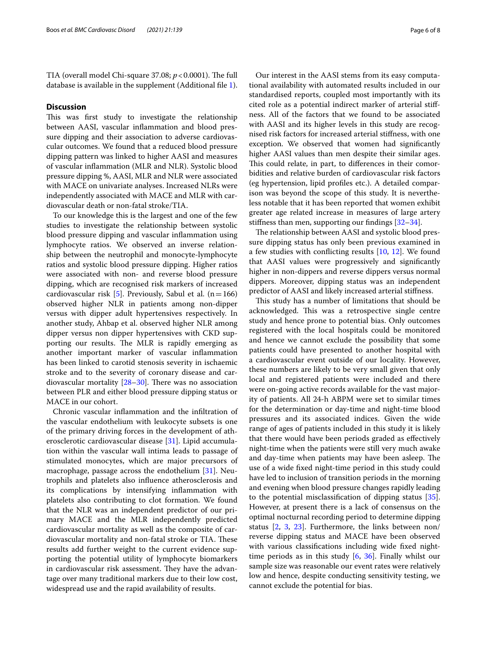TIA (overall model Chi-square 37.08;  $p < 0.0001$ ). The full database is available in the supplement (Additional fle [1](#page-6-18)).

# **Discussion**

This was first study to investigate the relationship between AASI, vascular infammation and blood pressure dipping and their association to adverse cardiovascular outcomes. We found that a reduced blood pressure dipping pattern was linked to higher AASI and measures of vascular infammation (MLR and NLR). Systolic blood pressure dipping %, AASI, MLR and NLR were associated with MACE on univariate analyses. Increased NLRs were independently associated with MACE and MLR with cardiovascular death or non-fatal stroke/TIA.

To our knowledge this is the largest and one of the few studies to investigate the relationship between systolic blood pressure dipping and vascular infammation using lymphocyte ratios. We observed an inverse relationship between the neutrophil and monocyte-lymphocyte ratios and systolic blood pressure dipping. Higher ratios were associated with non- and reverse blood pressure dipping, which are recognised risk markers of increased cardiovascular risk [[5\]](#page-6-19). Previously, Sabul et al.  $(n=166)$ observed higher NLR in patients among non-dipper versus with dipper adult hypertensives respectively. In another study, Ahbap et al. observed higher NLR among dipper versus non dipper hypertensives with CKD supporting our results. The MLR is rapidly emerging as another important marker of vascular infammation has been linked to carotid stenosis severity in ischaemic stroke and to the severity of coronary disease and cardiovascular mortality  $[28-30]$  $[28-30]$  $[28-30]$ . There was no association between PLR and either blood pressure dipping status or MACE in our cohort.

Chronic vascular infammation and the infltration of the vascular endothelium with leukocyte subsets is one of the primary driving forces in the development of atherosclerotic cardiovascular disease [\[31](#page-7-7)]. Lipid accumulation within the vascular wall intima leads to passage of stimulated monocytes, which are major precursors of macrophage, passage across the endothelium [[31\]](#page-7-7). Neutrophils and platelets also infuence atherosclerosis and its complications by intensifying infammation with platelets also contributing to clot formation. We found that the NLR was an independent predictor of our primary MACE and the MLR independently predicted cardiovascular mortality as well as the composite of cardiovascular mortality and non-fatal stroke or TIA. These results add further weight to the current evidence supporting the potential utility of lymphocyte biomarkers in cardiovascular risk assessment. They have the advantage over many traditional markers due to their low cost, widespread use and the rapid availability of results.

Our interest in the AASI stems from its easy computational availability with automated results included in our standardised reports, coupled most importantly with its cited role as a potential indirect marker of arterial stifness. All of the factors that we found to be associated with AASI and its higher levels in this study are recognised risk factors for increased arterial stifness, with one exception. We observed that women had signifcantly higher AASI values than men despite their similar ages. This could relate, in part, to differences in their comorbidities and relative burden of cardiovascular risk factors (eg hypertension, lipid profles etc.). A detailed comparison was beyond the scope of this study. It is nevertheless notable that it has been reported that women exhibit greater age related increase in measures of large artery stifness than men, supporting our fndings [[32](#page-7-8)[–34](#page-7-9)].

The relationship between AASI and systolic blood pressure dipping status has only been previous examined in a few studies with conficting results [[10,](#page-6-7) [12\]](#page-6-8). We found that AASI values were progressively and signifcantly higher in non-dippers and reverse dippers versus normal dippers. Moreover, dipping status was an independent predictor of AASI and likely increased arterial stifness.

This study has a number of limitations that should be acknowledged. This was a retrospective single centre study and hence prone to potential bias. Only outcomes registered with the local hospitals could be monitored and hence we cannot exclude the possibility that some patients could have presented to another hospital with a cardiovascular event outside of our locality. However, these numbers are likely to be very small given that only local and registered patients were included and there were on-going active records available for the vast majority of patients. All 24-h ABPM were set to similar times for the determination or day-time and night-time blood pressures and its associated indices. Given the wide range of ages of patients included in this study it is likely that there would have been periods graded as efectively night-time when the patients were still very much awake and day-time when patients may have been asleep. The use of a wide fxed night-time period in this study could have led to inclusion of transition periods in the morning and evening when blood pressure changes rapidly leading to the potential misclassifcation of dipping status [\[35](#page-7-10)]. However, at present there is a lack of consensus on the optimal nocturnal recording period to determine dipping status [\[2](#page-6-20), [3,](#page-6-1) [23](#page-7-0)]. Furthermore, the links between non/ reverse dipping status and MACE have been observed with various classifcations including wide fxed nighttime periods as in this study [\[6](#page-6-3), [36](#page-7-11)]. Finally whilst our sample size was reasonable our event rates were relatively low and hence, despite conducting sensitivity testing, we cannot exclude the potential for bias.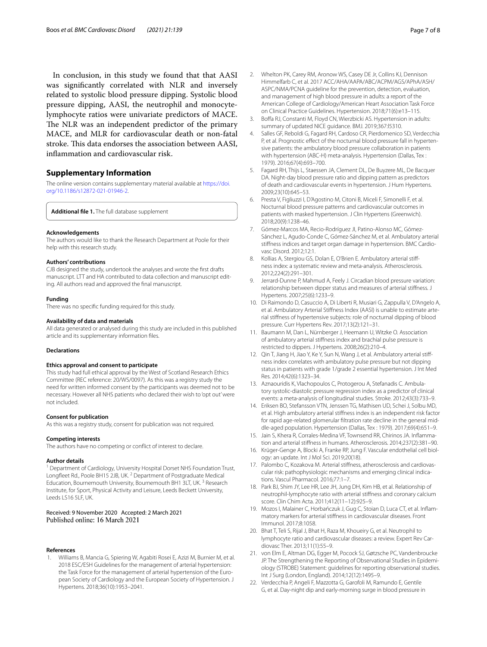In conclusion, in this study we found that that AASI was signifcantly correlated with NLR and inversely related to systolic blood pressure dipping. Systolic blood pressure dipping, AASI, the neutrophil and monocytelymphocyte ratios were univariate predictors of MACE. The NLR was an independent predictor of the primary MACE, and MLR for cardiovascular death or non-fatal stroke. This data endorses the association between AASI, infammation and cardiovascular risk.

# **Supplementary Information**

The online version contains supplementary material available at [https://doi.](https://doi.org/10.1186/s12872-021-01946-2) [org/10.1186/s12872-021-01946-2](https://doi.org/10.1186/s12872-021-01946-2).

<span id="page-6-18"></span>**Additional fle 1.** The full database supplement

#### **Acknowledgements**

The authors would like to thank the Research Department at Poole for their help with this research study.

#### **Authors' contributions**

CJB designed the study, undertook the analyses and wrote the frst drafts manuscript. LTT and HA contributed to data collection and manuscript edit‑ ing. All authors read and approved the fnal manuscript.

#### **Funding**

There was no specifc funding required for this study.

# **Availability of data and materials**

All data generated or analysed during this study are included in this published article and its supplementary information fles.

#### **Declarations**

## **Ethics approval and consent to participate**

This study had full ethical approval by the West of Scotland Research Ethics Committee (REC reference: 20/WS/0097). As this was a registry study the need for written informed consent by the participants was deemed not to be necessary. However all NHS patients who declared their wish to 'opt out' were not included.

#### **Consent for publication**

As this was a registry study, consent for publication was not required.

#### **Competing interests**

The authors have no competing or confict of interest to declare.

#### **Author details**

<sup>1</sup> Department of Cardiology, University Hospital Dorset NHS Foundation Trust, Longfleet Rd., Poole BH15 2JB, UK.<sup>2</sup> Department of Postgraduate Medical Education, Bournemouth University, Bournemouth BH1 3LT, UK.<sup>3</sup> Research Institute, for Sport, Physical Activity and Leisure, Leeds Beckett University, Leeds LS16 5LF, UK.

# Received: 9 November 2020 Accepted: 2 March 2021

#### **References**

<span id="page-6-0"></span>1. Williams B, Mancia G, Spiering W, Agabiti Rosei E, Azizi M, Burnier M, et al. 2018 ESC/ESH Guidelines for the management of arterial hypertension: the Task Force for the management of arterial hypertension of the European Society of Cardiology and the European Society of Hypertension. J Hypertens. 2018;36(10):1953–2041.

- <span id="page-6-20"></span>2. Whelton PK, Carey RM, Aronow WS, Casey DE Jr, Collins KJ, Dennison Himmelfarb C, et al. 2017 ACC/AHA/AAPA/ABC/ACPM/AGS/APhA/ASH/ ASPC/NMA/PCNA guideline for the prevention, detection, evaluation, and management of high blood pressure in adults: a report of the American College of Cardiology/American Heart Association Task Force on Clinical Practice Guidelines. Hypertension. 2018;71(6):e13–115.
- <span id="page-6-1"></span>3. Bofa RJ, Constanti M, Floyd CN, Wierzbicki AS. Hypertension in adults: summary of updated NICE guidance. BMJ. 2019;367:l5310.
- <span id="page-6-2"></span>4. Salles GF, Reboldi G, Fagard RH, Cardoso CR, Pierdomenico SD, Verdecchia P, et al. Prognostic effect of the nocturnal blood pressure fall in hypertensive patients: the ambulatory blood pressure collaboration in patients with hypertension (ABC-H) meta-analysis. Hypertension (Dallas, Tex : 1979). 2016;67(4):693–700.
- <span id="page-6-19"></span>5. Fagard RH, Thijs L, Staessen JA, Clement DL, De Buyzere ML, De Bacquer DA. Night-day blood pressure ratio and dipping pattern as predictors of death and cardiovascular events in hypertension. J Hum Hypertens. 2009;23(10):645–53.
- <span id="page-6-3"></span>6. Presta V, Figliuzzi I, D'Agostino M, Citoni B, Miceli F, Simonelli F, et al. Nocturnal blood pressure patterns and cardiovascular outcomes in patients with masked hypertension. J Clin Hypertens (Greenwich). 2018;20(9):1238–46.
- <span id="page-6-4"></span>7. Gómez-Marcos MA, Recio-Rodríguez JI, Patino-Alonso MC, Gómez-Sánchez L, Agudo-Conde C, Gómez-Sánchez M, et al. Ambulatory arterial stiffness indices and target organ damage in hypertension. BMC Cardiovasc Disord. 2012;12:1.
- <span id="page-6-5"></span>Kollias A, Stergiou GS, Dolan E, O'Brien E. Ambulatory arterial stiffness index: a systematic review and meta-analysis. Atherosclerosis. 2012;224(2):291–301.
- <span id="page-6-6"></span>Jerrard-Dunne P, Mahmud A, Feely J. Circadian blood pressure variation: relationship between dipper status and measures of arterial stifness. J Hypertens. 2007;25(6):1233–9.
- <span id="page-6-7"></span>10. Di Raimondo D, Casuccio A, Di Liberti R, Musiari G, Zappulla V, D'Angelo A, et al. Ambulatory Arterial Stiffness Index (AASI) is unable to estimate arterial stifness of hypertensive subjects: role of nocturnal dipping of blood pressure. Curr Hypertens Rev. 2017;13(2):121–31.
- 11. Baumann M, Dan L, Nürnberger J, Heemann U, Witzke O. Association of ambulatory arterial stifness index and brachial pulse pressure is restricted to dippers. J Hypertens. 2008;26(2):210–4.
- <span id="page-6-8"></span>12. Qin T, Jiang H, Jiao Y, Ke Y, Sun N, Wang J, et al. Ambulatory arterial stiffness index correlates with ambulatory pulse pressure but not dipping status in patients with grade 1/grade 2 essential hypertension. J Int Med Res. 2014;42(6):1323–34.
- <span id="page-6-9"></span>13. Aznaouridis K, Vlachopoulos C, Protogerou A, Stefanadis C. Ambulatory systolic-diastolic pressure regression index as a predictor of clinical events: a meta-analysis of longitudinal studies. Stroke. 2012;43(3):733–9.
- <span id="page-6-10"></span>14. Eriksen BO, Stefansson VTN, Jenssen TG, Mathisen UD, Schei J, Solbu MD, et al. High ambulatory arterial stifness index is an independent risk factor for rapid age-related glomerular filtration rate decline in the general middle-aged population. Hypertension (Dallas, Tex : 1979). 2017;69(4):651–9.
- <span id="page-6-11"></span>15. Jain S, Khera R, Corrales-Medina VF, Townsend RR, Chirinos JA. Inflammation and arterial stifness in humans. Atherosclerosis. 2014;237(2):381–90.
- <span id="page-6-12"></span>16. Krüger-Genge A, Blocki A, Franke RP, Jung F. Vascular endothelial cell biology: an update. Int J Mol Sci. 2019;20(18).
- <span id="page-6-13"></span>17. Palombo C, Kozakova M. Arterial stiffness, atherosclerosis and cardiovascular risk: pathophysiologic mechanisms and emerging clinical indications. Vascul Pharmacol. 2016;77:1–7.
- <span id="page-6-14"></span>18. Park BJ, Shim JY, Lee HR, Lee JH, Jung DH, Kim HB, et al. Relationship of neutrophil-lymphocyte ratio with arterial stifness and coronary calcium score. Clin Chim Acta. 2011;412(11–12):925–9.
- 19. Mozos I, Malainer C, Horbańczuk J, Gug C, Stoian D, Luca CT, et al. Inflammatory markers for arterial stifness in cardiovascular diseases. Front Immunol. 2017;8:1058.
- <span id="page-6-15"></span>20. Bhat T, Teli S, Rijal J, Bhat H, Raza M, Khoueiry G, et al. Neutrophil to lymphocyte ratio and cardiovascular diseases: a review. Expert Rev Cardiovasc Ther. 2013;11(1):55–9.
- <span id="page-6-16"></span>21. von Elm E, Altman DG, Egger M, Pocock SJ, Gøtzsche PC, Vandenbroucke JP. The Strengthening the Reporting of Observational Studies in Epidemiology (STROBE) Statement: guidelines for reporting observational studies. Int J Surg (London, England). 2014;12(12):1495–9.
- <span id="page-6-17"></span>22. Verdecchia P, Angeli F, Mazzotta G, Garofoli M, Ramundo E, Gentile G, et al. Day-night dip and early-morning surge in blood pressure in